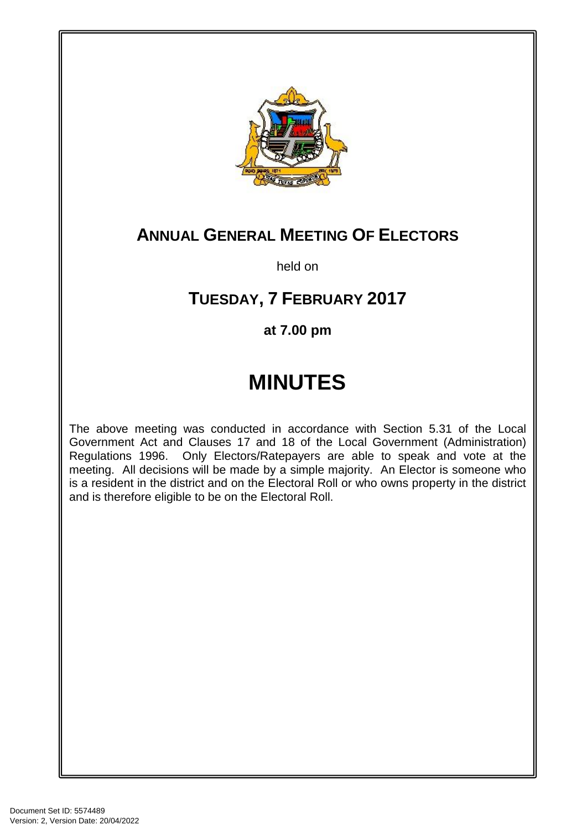

# **ANNUAL GENERAL MEETING OF ELECTORS**

held on

# **TUESDAY, 7 FEBRUARY 2017**

## **at 7.00 pm**

# **MINUTES**

The above meeting was conducted in accordance with Section 5.31 of the Local Government Act and Clauses 17 and 18 of the Local Government (Administration) Regulations 1996. Only Electors/Ratepayers are able to speak and vote at the meeting. All decisions will be made by a simple majority. An Elector is someone who is a resident in the district and on the Electoral Roll or who owns property in the district and is therefore eligible to be on the Electoral Roll.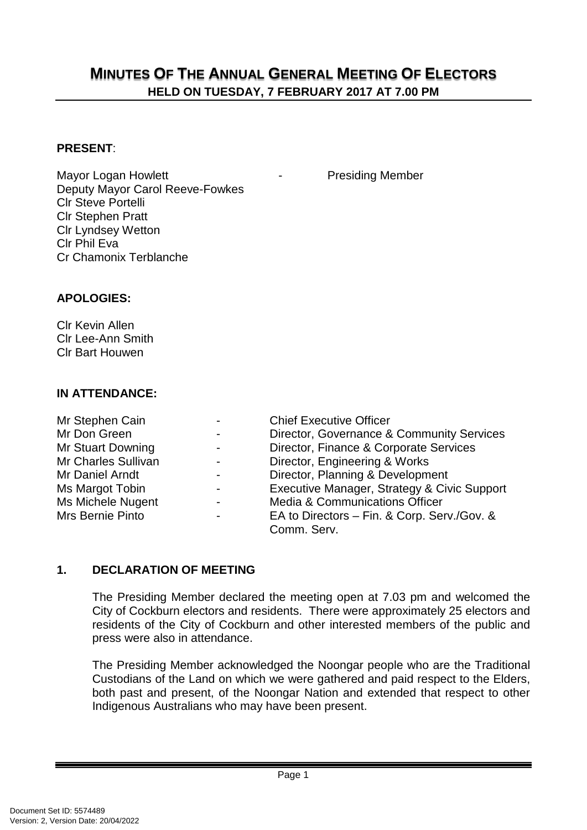### **MINUTES OF THE ANNUAL GENERAL MEETING OF ELECTORS HELD ON TUESDAY, 7 FEBRUARY 2017 AT 7.00 PM**

#### **PRESENT**:

Mayor Logan Howlett **National Accord Accord Following Member** Deputy Mayor Carol Reeve-Fowkes Clr Steve Portelli Clr Stephen Pratt Clr Lyndsey Wetton Clr Phil Eva Cr Chamonix Terblanche

#### **APOLOGIES:**

Clr Kevin Allen Clr Lee-Ann Smith Clr Bart Houwen

#### **IN ATTENDANCE:**

| Mr Stephen Cain     | $\blacksquare$           | <b>Chief Executive Officer</b>              |
|---------------------|--------------------------|---------------------------------------------|
| Mr Don Green        | $\blacksquare$           | Director, Governance & Community Services   |
| Mr Stuart Downing   | $\overline{\phantom{a}}$ | Director, Finance & Corporate Services      |
| Mr Charles Sullivan | $\overline{\phantom{0}}$ | Director, Engineering & Works               |
| Mr Daniel Arndt     | $\overline{\phantom{0}}$ | Director, Planning & Development            |
| Ms Margot Tobin     | $\blacksquare$           | Executive Manager, Strategy & Civic Support |
| Ms Michele Nugent   | $\blacksquare$           | <b>Media &amp; Communications Officer</b>   |
| Mrs Bernie Pinto    | $\blacksquare$           | EA to Directors - Fin. & Corp. Serv./Gov. & |
|                     |                          | Comm. Serv.                                 |

#### **1. DECLARATION OF MEETING**

The Presiding Member declared the meeting open at 7.03 pm and welcomed the City of Cockburn electors and residents. There were approximately 25 electors and residents of the City of Cockburn and other interested members of the public and press were also in attendance.

The Presiding Member acknowledged the Noongar people who are the Traditional Custodians of the Land on which we were gathered and paid respect to the Elders, both past and present, of the Noongar Nation and extended that respect to other Indigenous Australians who may have been present.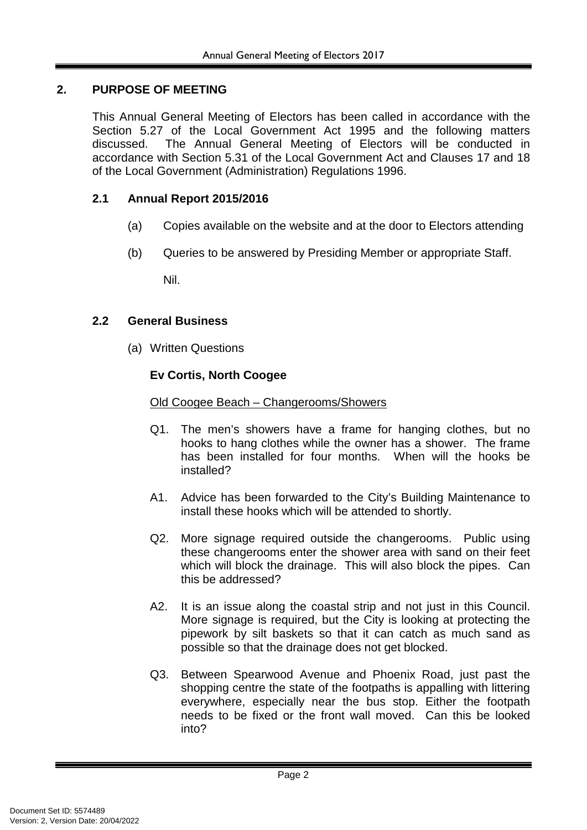#### **2. PURPOSE OF MEETING**

This Annual General Meeting of Electors has been called in accordance with the Section 5.27 of the Local Government Act 1995 and the following matters discussed. The Annual General Meeting of Electors will be conducted in accordance with Section 5.31 of the Local Government Act and Clauses 17 and 18 of the Local Government (Administration) Regulations 1996.

#### **2.1 Annual Report 2015/2016**

- (a) Copies available on the website and at the door to Electors attending
- (b) Queries to be answered by Presiding Member or appropriate Staff.

Nil.

#### **2.2 General Business**

(a) Written Questions

#### **Ev Cortis, North Coogee**

#### Old Coogee Beach – Changerooms/Showers

- Q1. The men's showers have a frame for hanging clothes, but no hooks to hang clothes while the owner has a shower. The frame has been installed for four months. When will the hooks be installed?
- A1. Advice has been forwarded to the City's Building Maintenance to install these hooks which will be attended to shortly.
- Q2. More signage required outside the changerooms. Public using these changerooms enter the shower area with sand on their feet which will block the drainage. This will also block the pipes. Can this be addressed?
- A2. It is an issue along the coastal strip and not just in this Council. More signage is required, but the City is looking at protecting the pipework by silt baskets so that it can catch as much sand as possible so that the drainage does not get blocked.
- Q3. Between Spearwood Avenue and Phoenix Road, just past the shopping centre the state of the footpaths is appalling with littering everywhere, especially near the bus stop. Either the footpath needs to be fixed or the front wall moved. Can this be looked into?